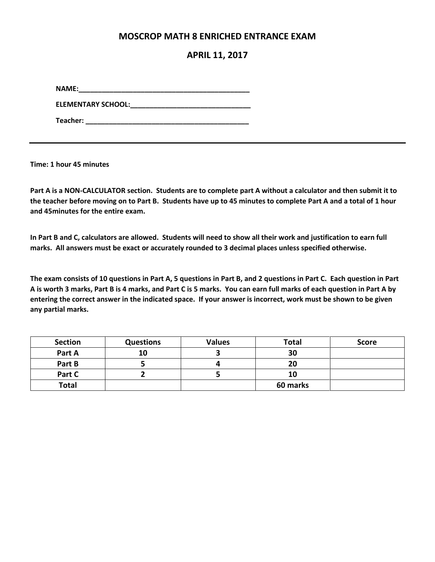#### **MOSCROP MATH 8 ENRICHED ENTRANCE EXAM**

#### **APRIL 11, 2017**

**NAME:\_\_\_\_\_\_\_\_\_\_\_\_\_\_\_\_\_\_\_\_\_\_\_\_\_\_\_\_\_\_\_\_\_\_\_\_\_\_\_\_\_\_\_\_**

**ELEMENTARY SCHOOL:\_\_\_\_\_\_\_\_\_\_\_\_\_\_\_\_\_\_\_\_\_\_\_\_\_\_\_\_\_\_\_**

**Teacher: \_\_\_\_\_\_\_\_\_\_\_\_\_\_\_\_\_\_\_\_\_\_\_\_\_\_\_\_\_\_\_\_\_\_\_\_\_\_\_\_\_\_**

**Time: 1 hour 45 minutes**

**Part A is a NON-CALCULATOR section. Students are to complete part A without a calculator and then submit it to the teacher before moving on to Part B. Students have up to 45 minutes to complete Part A and a total of 1 hour and 45minutes for the entire exam.** 

**In Part B and C, calculators are allowed. Students will need to show all their work and justification to earn full marks. All answers must be exact or accurately rounded to 3 decimal places unless specified otherwise.** 

**The exam consists of 10 questions in Part A, 5 questions in Part B, and 2 questions in Part C. Each question in Part A is worth 3 marks, Part B is 4 marks, and Part C is 5 marks. You can earn full marks of each question in Part A by entering the correct answer in the indicated space. If your answer is incorrect, work must be shown to be given any partial marks.** 

| <b>Section</b> | <b>Questions</b> | <b>Values</b> | Total    | <b>Score</b> |
|----------------|------------------|---------------|----------|--------------|
| Part A         | 10               |               | 30       |              |
| Part B         |                  |               | 20       |              |
| Part C         |                  |               | 10       |              |
| <b>Total</b>   |                  |               | 60 marks |              |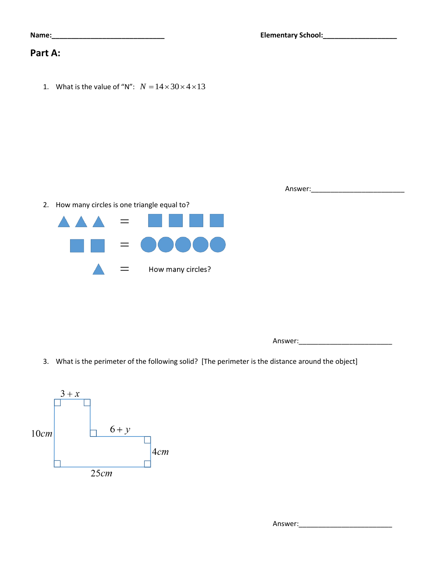| <b>Elementary School:</b> |  |
|---------------------------|--|
|---------------------------|--|

### **Part A:**

1. What is the value of "N":  $N = 14 \times 30 \times 4 \times 13$ 

**Name:\_\_\_\_\_\_\_\_\_\_\_\_\_\_\_\_\_\_\_\_\_\_\_\_\_\_\_\_\_ Elementary School:\_\_\_\_\_\_\_\_\_\_\_\_\_\_\_\_\_\_\_**

Answer:\_\_\_\_\_\_\_\_\_\_\_\_\_\_\_\_\_\_\_\_\_\_\_\_

2. How many circles is one triangle equal to?



Answer:\_\_\_\_\_\_\_\_\_\_\_\_\_\_\_\_\_\_\_\_\_\_\_\_

3. What is the perimeter of the following solid? [The perimeter is the distance around the object]

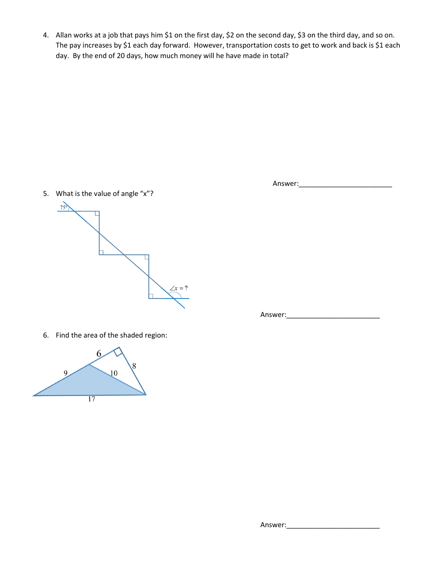4. Allan works at a job that pays him \$1 on the first day, \$2 on the second day, \$3 on the third day, and so on. The pay increases by \$1 each day forward. However, transportation costs to get to work and back is \$1 each day. By the end of 20 days, how much money will he have made in total?

5. What is the value of angle "x"?



6. Find the area of the shaded region:



Answer:\_\_\_\_\_\_\_\_\_\_\_\_\_\_\_\_\_\_\_\_\_\_\_\_

Answer:\_\_\_\_\_\_\_\_\_\_\_\_\_\_\_\_\_\_\_\_\_\_\_\_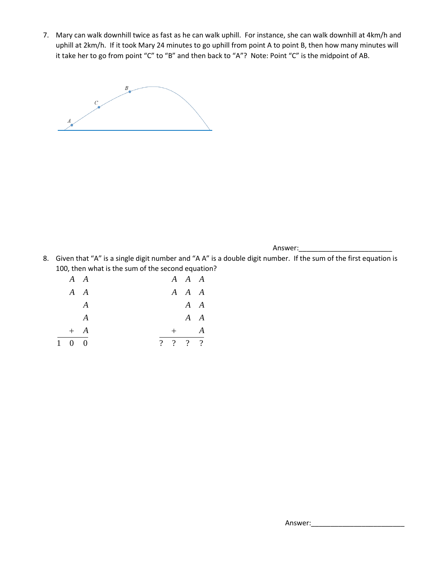7. Mary can walk downhill twice as fast as he can walk uphill. For instance, she can walk downhill at 4km/h and uphill at 2km/h. If it took Mary 24 minutes to go uphill from point A to point B, then how many minutes will it take her to go from point "C" to "B" and then back to "A"? Note: Point "C" is the midpoint of AB.



Answer:\_\_\_\_\_\_\_\_\_\_\_\_\_\_\_\_\_\_\_\_\_\_\_\_

8. Given that "A" is a single digit number and "A A" is a double digit number. If the sum of the first equation is 100, then what is the sum of the second equation?

|                     | $A \quad A$      |  | $A \quad A \quad A$ |   |  |
|---------------------|------------------|--|---------------------|---|--|
|                     | $A \quad A$      |  | $A \quad A \quad A$ |   |  |
|                     | A                |  | $A \quad A$         |   |  |
|                     | $\boldsymbol{A}$ |  | $A \quad A$         |   |  |
|                     | $+$ A            |  |                     | A |  |
| $1 \quad 0 \quad 0$ |                  |  | ?  ?  ?  ?          |   |  |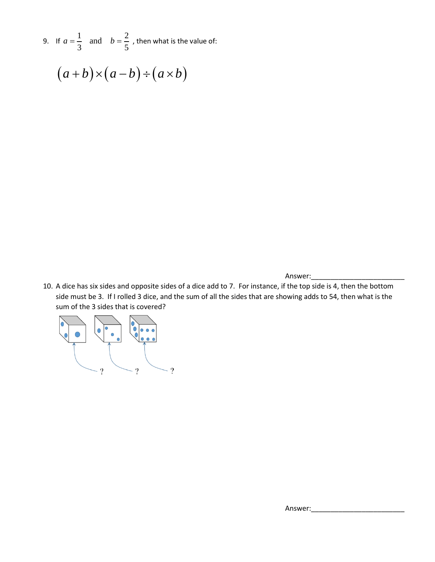9. If  $a = \frac{1}{2}$  and  $b = \frac{2}{5}$  $\frac{1}{3}$  and  $v - \frac{1}{5}$  $a=\frac{1}{2}$  and  $b=\frac{2}{5}$ , then what is the value of:

 $(a + b) \times (a - b) \div (a \times b)$ 

Answer:

10. A dice has six sides and opposite sides of a dice add to 7. For instance, if the top side is 4, then the bottom side must be 3. If I rolled 3 dice, and the sum of all the sides that are showing adds to 54, then what is the sum of the 3 sides that is covered?



Answer: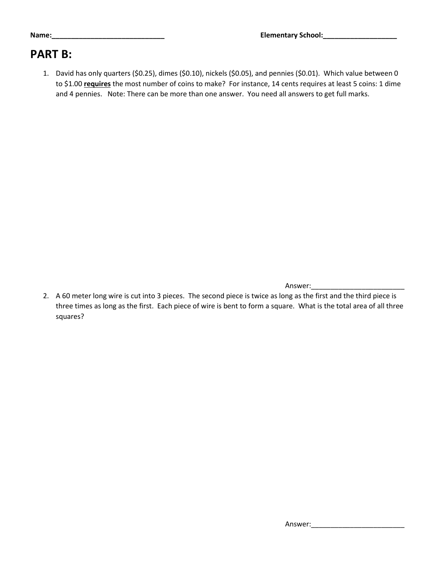### **Name:\_\_\_\_\_\_\_\_\_\_\_\_\_\_\_\_\_\_\_\_\_\_\_\_\_\_\_\_\_ Elementary School:\_\_\_\_\_\_\_\_\_\_\_\_\_\_\_\_\_\_\_**

## **PART B:**

1. David has only quarters (\$0.25), dimes (\$0.10), nickels (\$0.05), and pennies (\$0.01). Which value between 0 to \$1.00 **requires** the most number of coins to make? For instance, 14 cents requires at least 5 coins: 1 dime and 4 pennies. Note: There can be more than one answer. You need all answers to get full marks.

Answer:

2. A 60 meter long wire is cut into 3 pieces. The second piece is twice as long as the first and the third piece is three times as long as the first. Each piece of wire is bent to form a square. What is the total area of all three squares?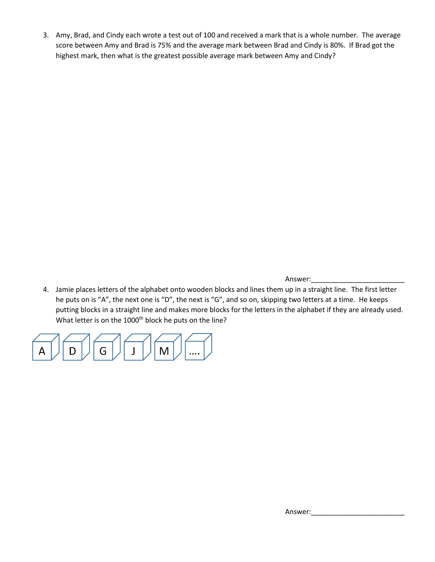3. Amy, Brad, and Cindy each wrote a test out of 100 and received a mark that is a whole number. The average score between Amy and Brad is 75% and the average mark between Brad and Cindy is 80%. If Brad got the highest mark, then what is the greatest possible average mark between Amy and Cindy?

Answer:

4. Jamie places letters of the alphabet onto wooden blocks and lines them up in a straight line. The first letter he puts on is "A", the next one is "D", the next is "G", and so on, skipping two letters at a time. He keeps putting blocks in a straight line and makes more blocks for the letters in the alphabet if they are already used. What letter is on the 1000<sup>th</sup> block he puts on the line?



Answer: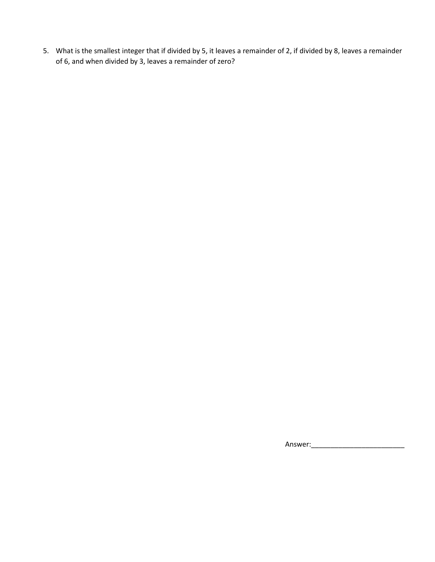5. What is the smallest integer that if divided by 5, it leaves a remainder of 2, if divided by 8, leaves a remainder of 6, and when divided by 3, leaves a remainder of zero?

Answer:\_\_\_\_\_\_\_\_\_\_\_\_\_\_\_\_\_\_\_\_\_\_\_\_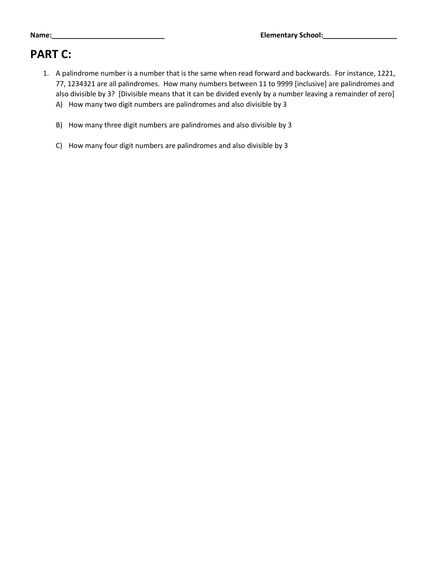# **PART C:**

- 1. A palindrome number is a number that is the same when read forward and backwards. For instance, 1221, 77, 1234321 are all palindromes. How many numbers between 11 to 9999 [inclusive] are palindromes and also divisible by 3? [Divisible means that it can be divided evenly by a number leaving a remainder of zero] A) How many two digit numbers are palindromes and also divisible by 3
	- B) How many three digit numbers are palindromes and also divisible by 3
	- C) How many four digit numbers are palindromes and also divisible by 3